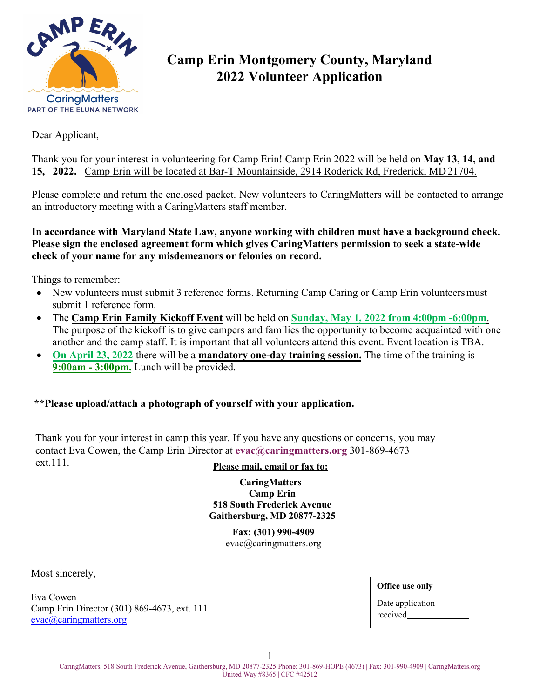

# **Camp Erin Montgomery County, Maryland 2022 Volunteer Application**

Dear Applicant,

Thank you for your interest in volunteering for Camp Erin! Camp Erin 2022 will be held on **May 13, 14, and 15, 2022.** Camp Erin will be located at Bar-T Mountainside, 2914 Roderick Rd, Frederick, MD 21704.

Please complete and return the enclosed packet. New volunteers to CaringMatters will be contacted to arrange an introductory meeting with a CaringMatters staff member.

**In accordance with Maryland State Law, anyone working with children must have a background check. Please sign the enclosed agreement form which gives CaringMatters permission to seek a state-wide check of your name for any misdemeanors or felonies on record.**

Things to remember:

- New volunteers must submit 3 reference forms. Returning Camp Caring or Camp Erin volunteers must submit 1 reference form.
- The **Camp Erin Family Kickoff Event** will be held on **Sunday, May 1, 2022 from 4:00pm -6:00pm**. The purpose of the kickoff is to give campers and families the opportunity to become acquainted with one another and the camp staff. It is important that all volunteers attend this event. Event location is TBA.
- **On April 23, 2022** there will be a **mandatory one-day training session.** The time of the training is **9:00am - 3:00pm.** Lunch will be provided.

#### **\*\*Please upload/attach a photograph of yourself with your application.**

Thank you for your interest in camp this year. If you have any questions or concerns, you may contact Eva Cowen, the Camp Erin Director at **[evac@caringmatters.org](mailto:evac@caringmatters.org)** 301-869-4673 ext.111. **Please mail, email or fax to:** 

**CaringMatters Camp Erin [518 South Frederick Aven](mailto:hailyg@hospicecaring.org)ue Gaithersburg, MD 20877-2325** 

> **Fax: (301) 990-4909**  evac[@caringmatters.org](mailto:evac@caringmatters.org)

Most sincerely,

[Eva Cowen](mailto:katiee@hospicecaring.org) Camp Erin Director (301) 869-4673, ext. 111 evac[@caringmatters.org](mailto:tammys@caringmatters.org)

**Office use only**

Date application received

1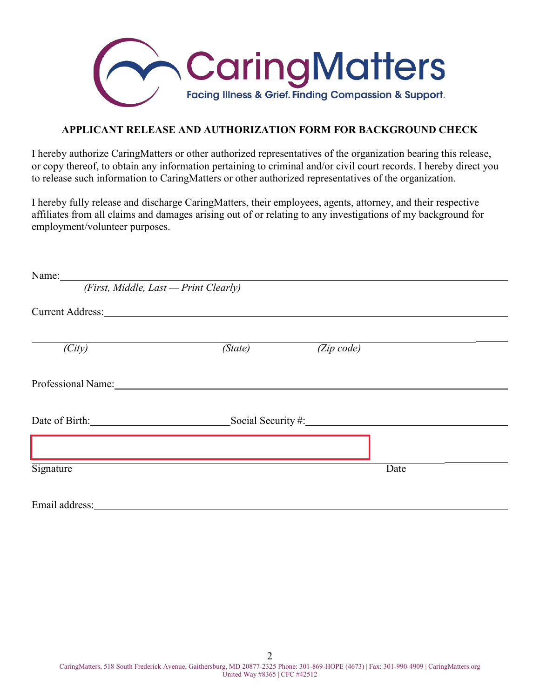

#### **APPLICANT RELEASE AND AUTHORIZATION FORM FOR BACKGROUND CHECK**

I hereby authorize CaringMatters or other authorized representatives of the organization bearing this release, or copy thereof, to obtain any information pertaining to criminal and/or civil court records. I hereby direct you to release such information to CaringMatters or other authorized representatives of the organization.

I hereby fully release and discharge CaringMatters, their employees, agents, attorney, and their respective affiliates from all claims and damages arising out of or relating to any investigations of my background for employment/volunteer purposes.

| Name:                                                                                                                                                                                                                          |                                                    |                    |      |  |
|--------------------------------------------------------------------------------------------------------------------------------------------------------------------------------------------------------------------------------|----------------------------------------------------|--------------------|------|--|
| (First, Middle, Last - Print Clearly)                                                                                                                                                                                          |                                                    |                    |      |  |
| <b>Current Address:</b>                                                                                                                                                                                                        | <u> 1989 - John Stein, Amerikaansk politiker (</u> |                    |      |  |
|                                                                                                                                                                                                                                |                                                    |                    |      |  |
| (City)                                                                                                                                                                                                                         | (State)                                            | $(Zip\ code)$      |      |  |
| Professional Name: Name and Second Second Second Second Second Second Second Second Second Second Second Second Second Second Second Second Second Second Second Second Second Second Second Second Second Second Second Secon |                                                    |                    |      |  |
| Date of Birth:                                                                                                                                                                                                                 |                                                    | Social Security #: |      |  |
|                                                                                                                                                                                                                                |                                                    |                    |      |  |
| Signature                                                                                                                                                                                                                      |                                                    |                    | Date |  |
| Email address:                                                                                                                                                                                                                 |                                                    |                    |      |  |

2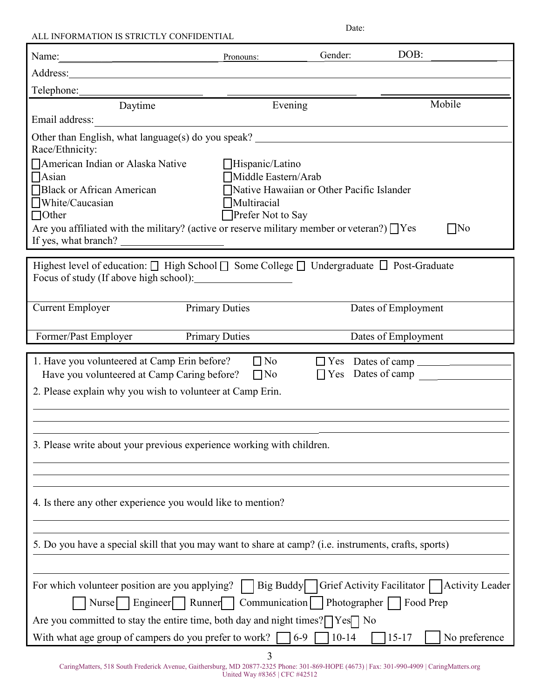| ALL INFORMATION IS STRICTLY CONFIDENTIAL                                                                                                               |                                                                    | Date:    |                                                            |               |
|--------------------------------------------------------------------------------------------------------------------------------------------------------|--------------------------------------------------------------------|----------|------------------------------------------------------------|---------------|
| Name:                                                                                                                                                  | Pronouns:                                                          | Gender:  | DOB:                                                       |               |
|                                                                                                                                                        |                                                                    |          |                                                            |               |
| Telephone:                                                                                                                                             |                                                                    |          |                                                            |               |
| Daytime                                                                                                                                                | Evening                                                            |          |                                                            | Mobile        |
| Email address:                                                                                                                                         |                                                                    |          |                                                            |               |
| Other than English, what language(s) do you speak? ______________________________<br>Race/Ethnicity:                                                   |                                                                    |          |                                                            |               |
| □ American Indian or Alaska Native                                                                                                                     | $\Box$ Hispanic/Latino                                             |          |                                                            |               |
| $\Box$ Asian<br>Black or African American                                                                                                              | Middle Eastern/Arab<br>□ Native Hawaiian or Other Pacific Islander |          |                                                            |               |
| $\Box$ White/Caucasian                                                                                                                                 | Multiracial                                                        |          |                                                            |               |
| $\Box$ Other                                                                                                                                           | Prefer Not to Say                                                  |          |                                                            |               |
| Are you affiliated with the military? (active or reserve military member or veteran?) $\Box$ Yes                                                       |                                                                    |          |                                                            | No            |
| If yes, what branch?                                                                                                                                   |                                                                    |          |                                                            |               |
| Highest level of education: $\Box$ High School $\Box$ Some College $\Box$ Undergraduate $\Box$ Post-Graduate<br>Focus of study (If above high school): |                                                                    |          |                                                            |               |
| <b>Current Employer</b>                                                                                                                                | <b>Primary Duties</b>                                              |          | Dates of Employment                                        |               |
| Former/Past Employer                                                                                                                                   | <b>Primary Duties</b>                                              |          | Dates of Employment                                        |               |
| 1. Have you volunteered at Camp Erin before?                                                                                                           | $\Box$ No                                                          |          | $\Box$ Yes Dates of camp                                   |               |
| Have you volunteered at Camp Caring before?                                                                                                            | $\Box$ No                                                          |          | $\Box$ Yes Dates of camp                                   |               |
| 2. Please explain why you wish to volunteer at Camp Erin.                                                                                              |                                                                    |          |                                                            |               |
|                                                                                                                                                        |                                                                    |          |                                                            |               |
|                                                                                                                                                        |                                                                    |          |                                                            |               |
| 3. Please write about your previous experience working with children.                                                                                  |                                                                    |          |                                                            |               |
|                                                                                                                                                        |                                                                    |          |                                                            |               |
|                                                                                                                                                        |                                                                    |          |                                                            |               |
| 4. Is there any other experience you would like to mention?                                                                                            |                                                                    |          |                                                            |               |
|                                                                                                                                                        |                                                                    |          |                                                            |               |
| 5. Do you have a special skill that you may want to share at camp? (i.e. instruments, crafts, sports)                                                  |                                                                    |          |                                                            |               |
|                                                                                                                                                        |                                                                    |          |                                                            |               |
| For which volunteer position are you applying?                                                                                                         |                                                                    |          | Big Buddy   Grief Activity Facilitator     Activity Leader |               |
| Nurse   Engineer   Runner   Communication   Photographer                                                                                               |                                                                    |          | Food Prep                                                  |               |
| Are you committed to stay the entire time, both day and night times? $\Box$ Yes $\Box$ No                                                              |                                                                    |          |                                                            |               |
| With what age group of campers do you prefer to work? $\Box$ 6-9                                                                                       |                                                                    | $ 10-14$ | $15 - 17$                                                  | No preference |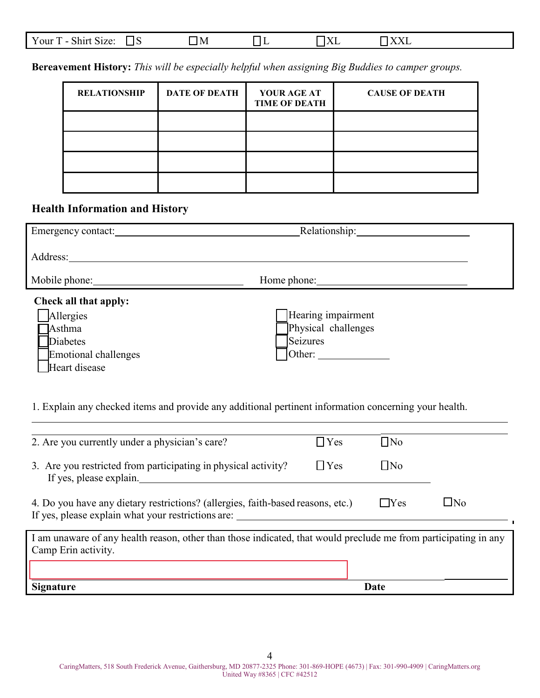|  | Your<br>$\sim$<br>᠇᠇<br>Size:<br>- La sat<br>эшн<br>--<br>. . | M |  |  | -----<br>., |  |
|--|---------------------------------------------------------------|---|--|--|-------------|--|
|--|---------------------------------------------------------------|---|--|--|-------------|--|

**Bereavement History:** *This will be especially helpful when assigning Big Buddies to camper groups.* 

| <b>RELATIONSHIP</b> | <b>DATE OF DEATH</b> | YOUR AGE AT<br><b>TIME OF DEATH</b> | <b>CAUSE OF DEATH</b> |
|---------------------|----------------------|-------------------------------------|-----------------------|
|                     |                      |                                     |                       |
|                     |                      |                                     |                       |
|                     |                      |                                     |                       |
|                     |                      |                                     |                       |

### **Health Information and History**

| Emergency contact:    | Relationship:             |
|-----------------------|---------------------------|
| Address:              |                           |
|                       | Home phone: New York 1988 |
| Check all that apply: |                           |
| Allergies             | Hearing impairment        |
| Asthma                | Physical challenges       |
| Diabetes              | Seizures                  |
| Emotional challenges  | Other:                    |
| Heart disease         |                           |

1. Explain any checked items and provide any additional pertinent information concerning your health.

| 2. Are you currently under a physician's care?                                                                                         | $\Box$ Yes | $\Box$ No |           |
|----------------------------------------------------------------------------------------------------------------------------------------|------------|-----------|-----------|
| 3. Are you restricted from participating in physical activity?<br>If yes, please explain.                                              | $\Box$ Yes | $\Box$ No |           |
| 4. Do you have any dietary restrictions? (allergies, faith-based reasons, etc.)<br>If yes, please explain what your restrictions are:  |            | ∣ ∣Yes    | $\Box$ No |
| I am unaware of any health reason, other than those indicated, that would preclude me from participating in any<br>Camp Erin activity. |            |           |           |
|                                                                                                                                        |            |           |           |
| <b>Signature</b>                                                                                                                       |            | Date      |           |

4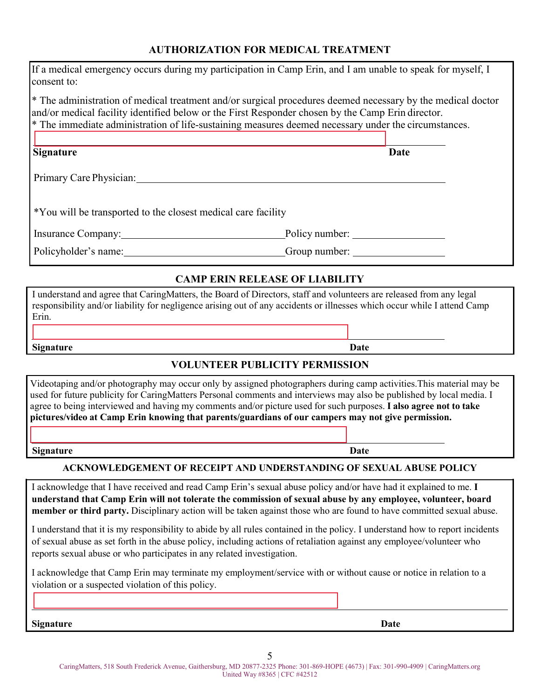#### **AUTHORIZATION FOR MEDICAL TREATMENT**

| <b>Signature</b><br>I acknowledge that I have received and read Camp Erin's sexual abuse policy and/or have had it explained to me. I<br>understand that Camp Erin will not tolerate the commission of sexual abuse by any employee, volunteer, board<br>member or third party. Disciplinary action will be taken against those who are found to have committed sexual abuse.<br>I understand that it is my responsibility to abide by all rules contained in the policy. I understand how to report incidents<br>of sexual abuse as set forth in the abuse policy, including actions of retaliation against any employee/volunteer who<br>reports sexual abuse or who participates in any related investigation.<br>I acknowledge that Camp Erin may terminate my employment/service with or without cause or notice in relation to a<br>violation or a suspected violation of this policy. | Date<br><b>ACKNOWLEDGEMENT OF RECEIPT AND UNDERSTANDING OF SEXUAL ABUSE POLICY</b>                   |  |
|----------------------------------------------------------------------------------------------------------------------------------------------------------------------------------------------------------------------------------------------------------------------------------------------------------------------------------------------------------------------------------------------------------------------------------------------------------------------------------------------------------------------------------------------------------------------------------------------------------------------------------------------------------------------------------------------------------------------------------------------------------------------------------------------------------------------------------------------------------------------------------------------|------------------------------------------------------------------------------------------------------|--|
|                                                                                                                                                                                                                                                                                                                                                                                                                                                                                                                                                                                                                                                                                                                                                                                                                                                                                              |                                                                                                      |  |
|                                                                                                                                                                                                                                                                                                                                                                                                                                                                                                                                                                                                                                                                                                                                                                                                                                                                                              |                                                                                                      |  |
|                                                                                                                                                                                                                                                                                                                                                                                                                                                                                                                                                                                                                                                                                                                                                                                                                                                                                              |                                                                                                      |  |
|                                                                                                                                                                                                                                                                                                                                                                                                                                                                                                                                                                                                                                                                                                                                                                                                                                                                                              |                                                                                                      |  |
|                                                                                                                                                                                                                                                                                                                                                                                                                                                                                                                                                                                                                                                                                                                                                                                                                                                                                              |                                                                                                      |  |
|                                                                                                                                                                                                                                                                                                                                                                                                                                                                                                                                                                                                                                                                                                                                                                                                                                                                                              |                                                                                                      |  |
|                                                                                                                                                                                                                                                                                                                                                                                                                                                                                                                                                                                                                                                                                                                                                                                                                                                                                              |                                                                                                      |  |
| Videotaping and/or photography may occur only by assigned photographers during camp activities. This material may be<br>used for future publicity for CaringMatters Personal comments and interviews may also be published by local media. I<br>agree to being interviewed and having my comments and/or picture used for such purposes. I also agree not to take<br>pictures/video at Camp Erin knowing that parents/guardians of our campers may not give permission.                                                                                                                                                                                                                                                                                                                                                                                                                      |                                                                                                      |  |
|                                                                                                                                                                                                                                                                                                                                                                                                                                                                                                                                                                                                                                                                                                                                                                                                                                                                                              | <b>VOLUNTEER PUBLICITY PERMISSION</b>                                                                |  |
| <b>Signature</b>                                                                                                                                                                                                                                                                                                                                                                                                                                                                                                                                                                                                                                                                                                                                                                                                                                                                             | Date                                                                                                 |  |
| responsibility and/or liability for negligence arising out of any accidents or illnesses which occur while I attend Camp<br>Erin.                                                                                                                                                                                                                                                                                                                                                                                                                                                                                                                                                                                                                                                                                                                                                            |                                                                                                      |  |
| I understand and agree that CaringMatters, the Board of Directors, staff and volunteers are released from any legal                                                                                                                                                                                                                                                                                                                                                                                                                                                                                                                                                                                                                                                                                                                                                                          | <b>CAMP ERIN RELEASE OF LIABILITY</b>                                                                |  |
| Policyholder's name: Group number: Group number:                                                                                                                                                                                                                                                                                                                                                                                                                                                                                                                                                                                                                                                                                                                                                                                                                                             |                                                                                                      |  |
| Insurance Company: Policy number:                                                                                                                                                                                                                                                                                                                                                                                                                                                                                                                                                                                                                                                                                                                                                                                                                                                            |                                                                                                      |  |
| *You will be transported to the closest medical care facility                                                                                                                                                                                                                                                                                                                                                                                                                                                                                                                                                                                                                                                                                                                                                                                                                                |                                                                                                      |  |
|                                                                                                                                                                                                                                                                                                                                                                                                                                                                                                                                                                                                                                                                                                                                                                                                                                                                                              |                                                                                                      |  |
| Primary Care Physician:                                                                                                                                                                                                                                                                                                                                                                                                                                                                                                                                                                                                                                                                                                                                                                                                                                                                      |                                                                                                      |  |
| <b>Signature</b>                                                                                                                                                                                                                                                                                                                                                                                                                                                                                                                                                                                                                                                                                                                                                                                                                                                                             | <b>Date</b>                                                                                          |  |
|                                                                                                                                                                                                                                                                                                                                                                                                                                                                                                                                                                                                                                                                                                                                                                                                                                                                                              | * The immediate administration of life-sustaining measures deemed necessary under the circumstances. |  |
|                                                                                                                                                                                                                                                                                                                                                                                                                                                                                                                                                                                                                                                                                                                                                                                                                                                                                              |                                                                                                      |  |
| * The administration of medical treatment and/or surgical procedures deemed necessary by the medical doctor<br>and/or medical facility identified below or the First Responder chosen by the Camp Erin director.                                                                                                                                                                                                                                                                                                                                                                                                                                                                                                                                                                                                                                                                             |                                                                                                      |  |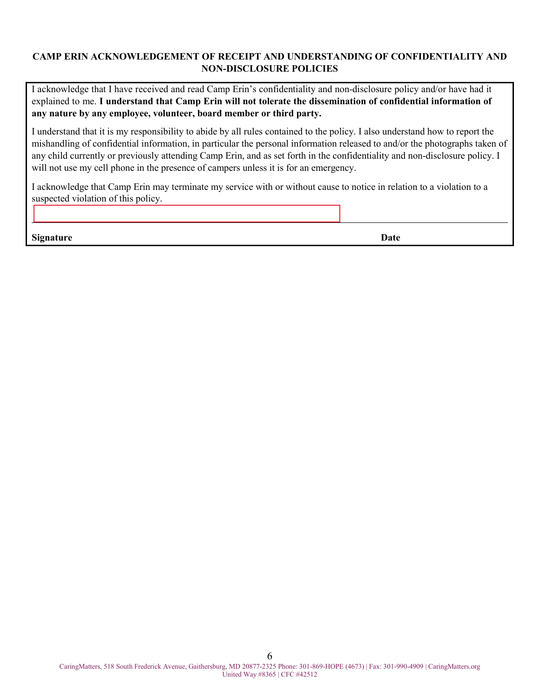#### **CAMP ERIN ACKNOWLEDGEMENT OF RECEIPT AND UNDERSTANDING OF CONFIDENTIALITY AND NON-DISCLOSURE POLICIES**

I acknowledge that I have received and read Camp Erin's confidentiality and non-disclosure policy and/or have had it explained to me. **I understand that Camp Erin will not tolerate the dissemination of confidential information of any nature by any employee, volunteer, board member or third party.**

I understand that it is my responsibility to abide by all rules contained to the policy. I also understand how to report the mishandling of confidential information, in particular the personal information released to and/or the photographs taken of any child currently or previously attending Camp Erin, and as set forth in the confidentiality and non-disclosure policy. I will not use my cell phone in the presence of campers unless it is for an emergency.

I acknowledge that Camp Erin may terminate my service with or without cause to notice in relation to a violation to a suspected violation of this policy.

**Signature Date**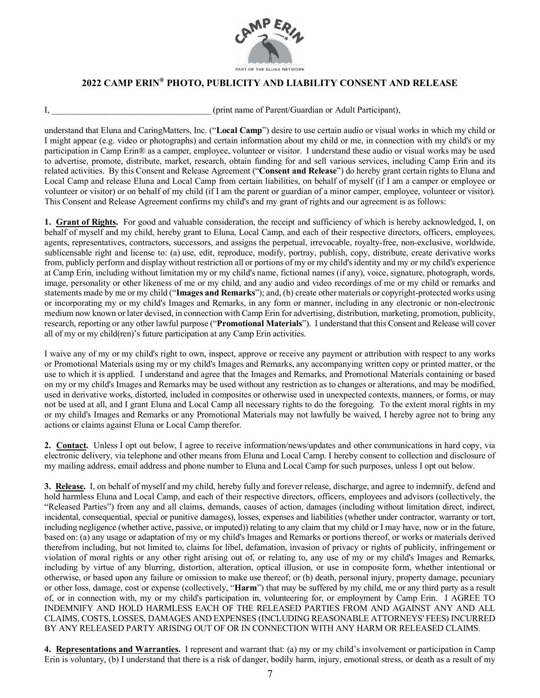

#### **2022 CAMP ERIN® PHOTO, PUBLICITY AND LIABILITY CONSENT AND RELEASE**

(print name of Parent/Guardian or Adult Participant),

understand that Eluna and CaringMatters, Inc. ("**Local Camp**") desire to use certain audio or visual works in which my child or I might appear (e.g. video or photographs) and certain information about my child or me, in connection with my child's or my participation in Camp Erin® as a camper, employee, volunteer or visitor. I understand these audio or visual works may be used to advertise, promote, distribute, market, research, obtain funding for and sell various services, including Camp Erin and its related activities. By this Consent and Release Agreement ("**Consent and Release**") do hereby grant certain rights to Eluna and Local Camp and release Eluna and Local Camp from certain liabilities, on behalf of myself (if I am a camper or employee or volunteer or visitor) or on behalf of my child (if I am the parent or guardian of a minor camper, employee, volunteer or visitor). This Consent and Release Agreement confirms my child's and my grant of rights and our agreement is as follows:

**1. Grant of Rights.** For good and valuable consideration, the receipt and sufficiency of which is hereby acknowledged, I, on behalf of myself and my child, hereby grant to Eluna, Local Camp, and each of their respective directors, officers, employees, agents, representatives, contractors, successors, and assigns the perpetual, irrevocable, royalty-free, non-exclusive, worldwide, sublicensable right and license to: (a) use, edit, reproduce, modify, portray, publish, copy, distribute, create derivative works from, publicly perform and display without restriction all or portions of my or my child'sidentity and my or my child's experience at Camp Erin, including without limitation my or my child's name, fictional names (if any), voice, signature, photograph, words, image, personality or other likeness of me or my child, and any audio and video recordings of me or my child or remarks and statements made by me or my child ("**Images and Remarks**"); and, (b) create other materials or copyright-protected works using or incorporating my or my child's Images and Remarks, in any form or manner, including in any electronic or non-electronic medium now known or later devised, in connection with Camp Erin for advertising, distribution, marketing, promotion, publicity, research, reporting or any other lawful purpose ("**Promotional Materials**"). I understand that this Consent and Release will cover all of my or my child(ren)'s future participation at any Camp Erin activities.

I waive any of my or my child's right to own, inspect, approve or receive any payment or attribution with respect to any works or Promotional Materials using my or my child's Images and Remarks, any accompanying written copy or printed matter, or the use to which it is applied. I understand and agree that the Images and Remarks, and Promotional Materials containing or based on my or my child's Images and Remarks may be used without any restriction as to changes or alterations, and may be modified, used in derivative works, distorted, included in composites or otherwise used in unexpected contexts, manners, or forms, or may not be used at all, and I grant Eluna and Local Camp all necessary rights to do the foregoing. To the extent moral rights in my or my child's Images and Remarks or any Promotional Materials may not lawfully be waived, I hereby agree not to bring any actions or claims against Eluna or Local Camp therefor.

**2. Contact.** Unless I opt out below, I agree to receive information/news/updates and other communications in hard copy, via electronic delivery, via telephone and other means from Eluna and Local Camp. I hereby consent to collection and disclosure of my mailing address, email address and phone number to Eluna and Local Camp for such purposes, unless I opt out below.

**3. Release.** I, on behalf of myself and my child, hereby fully and forever release, discharge, and agree to indemnify, defend and hold harmless Eluna and Local Camp, and each of their respective directors, officers, employees and advisors (collectively, the "Released Parties") from any and all claims, demands, causes of action, damages (including without limitation direct, indirect, incidental, consequential, special or punitive damages), losses, expenses and liabilities (whether under contractor, warranty or tort, including negligence (whether active, passive, or imputed)) relating to any claim that my child or I may have, now or in the future, based on: (a) any usage or adaptation of my or my child's Images and Remarks or portions thereof, or works or materials derived therefrom including, but not limited to, claims for libel, defamation, invasion of privacy or rights of publicity, infringement or violation of moral rights or any other right arising out of, or relating to, any use of my or my child's Images and Remarks, including by virtue of any blurring, distortion, alteration, optical illusion, or use in composite form, whether intentional or otherwise, or based upon any failure or omission to make use thereof; or (b) death, personal injury, property damage, pecuniary or other loss, damage, cost or expense (collectively, "**Harm**") that may be suffered by my child, me or any third party as a result of, or in connection with, my or my child's participation in, volunteering for, or employment by Camp Erin. I AGREE TO INDEMNIFY AND HOLD HARMLESS EACH OF THE RELEASED PARTIES FROM AND AGAINST ANY AND ALL CLAIMS, COSTS, LOSSES, DAMAGES AND EXPENSES (INCLUDING REASONABLE ATTORNEYS' FEES) INCURRED BY ANY RELEASED PARTY ARISING OUT OF OR IN CONNECTION WITH ANY HARM OR RELEASED CLAIMS.

**4. Representations and Warranties.** I represent and warrant that: (a) my or my child's involvement or participation in Camp Erin is voluntary, (b) I understand that there is a risk of danger, bodily harm, injury, emotional stress, or death as a result of my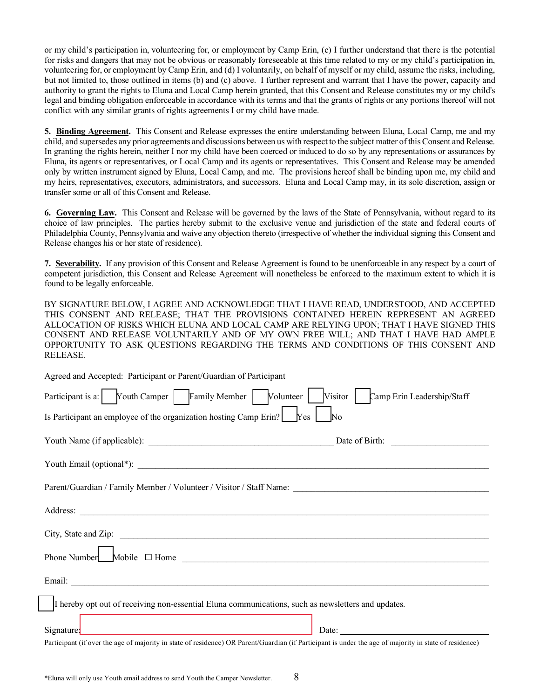or my child's participation in, volunteering for, or employment by Camp Erin, (c) I further understand that there is the potential for risks and dangers that may not be obvious or reasonably foreseeable at this time related to my or my child's participation in, volunteering for, or employment by Camp Erin, and (d) I voluntarily, on behalf of myself or my child, assume the risks, including, but not limited to, those outlined in items (b) and (c) above. I further represent and warrant that I have the power, capacity and authority to grant the rights to Eluna and Local Camp herein granted, that this Consent and Release constitutes my or my child's legal and binding obligation enforceable in accordance with its terms and that the grants of rights or any portions thereof will not conflict with any similar grants of rights agreements I or my child have made.

**5. Binding Agreement.** This Consent and Release expresses the entire understanding between Eluna, Local Camp, me and my child, and supersedes any prior agreements and discussions between us with respect to the subject matter of this Consent and Release. In granting the rights herein, neither I nor my child have been coerced or induced to do so by any representations or assurances by Eluna, its agents or representatives, or Local Camp and its agents or representatives. This Consent and Release may be amended only by written instrument signed by Eluna, Local Camp, and me. The provisions hereof shall be binding upon me, my child and my heirs, representatives, executors, administrators, and successors. Eluna and Local Camp may, in its sole discretion, assign or transfer some or all of this Consent and Release.

**6. Governing Law.** This Consent and Release will be governed by the laws of the State of Pennsylvania, without regard to its choice of law principles. The parties hereby submit to the exclusive venue and jurisdiction of the state and federal courts of Philadelphia County, Pennsylvania and waive any objection thereto (irrespective of whether the individual signing this Consent and Release changes his or her state of residence).

**7. Severability.** If any provision of this Consent and Release Agreement is found to be unenforceable in any respect by a court of competent jurisdiction, this Consent and Release Agreement will nonetheless be enforced to the maximum extent to which it is found to be legally enforceable.

BY SIGNATURE BELOW, I AGREE AND ACKNOWLEDGE THAT I HAVE READ, UNDERSTOOD, AND ACCEPTED THIS CONSENT AND RELEASE; THAT THE PROVISIONS CONTAINED HEREIN REPRESENT AN AGREED ALLOCATION OF RISKS WHICH ELUNA AND LOCAL CAMP ARE RELYING UPON; THAT I HAVE SIGNED THIS CONSENT AND RELEASE VOLUNTARILY AND OF MY OWN FREE WILL; AND THAT I HAVE HAD AMPLE OPPORTUNITY TO ASK QUESTIONS REGARDING THE TERMS AND CONDITIONS OF THIS CONSENT AND RELEASE.

| Agreed and Accepted: Participant or Parent/Guardian of Participant                                                                                                                                                                   |
|--------------------------------------------------------------------------------------------------------------------------------------------------------------------------------------------------------------------------------------|
| Participant is a: Youth Camper   Family Member   Volunteer   Visitor  <br>Camp Erin Leadership/Staff                                                                                                                                 |
| Is Participant an employee of the organization hosting Camp Erin? [Ves<br>No                                                                                                                                                         |
|                                                                                                                                                                                                                                      |
|                                                                                                                                                                                                                                      |
|                                                                                                                                                                                                                                      |
| Address: <u>example and the contract of the contract of the contract of the contract of the contract of the contract of the contract of the contract of the contract of the contract of the contract of the contract of the cont</u> |
|                                                                                                                                                                                                                                      |
|                                                                                                                                                                                                                                      |
|                                                                                                                                                                                                                                      |
| I hereby opt out of receiving non-essential Eluna communications, such as newsletters and updates.                                                                                                                                   |
| <u> 1980 - Johann Barbara, martxa alemaniar amerikan a</u><br>Date:<br>Signature:                                                                                                                                                    |
| Participant (if over the age of majority in state of residence) OR Parent/Guardian (if Participant is under the age of majority in state of residence)                                                                               |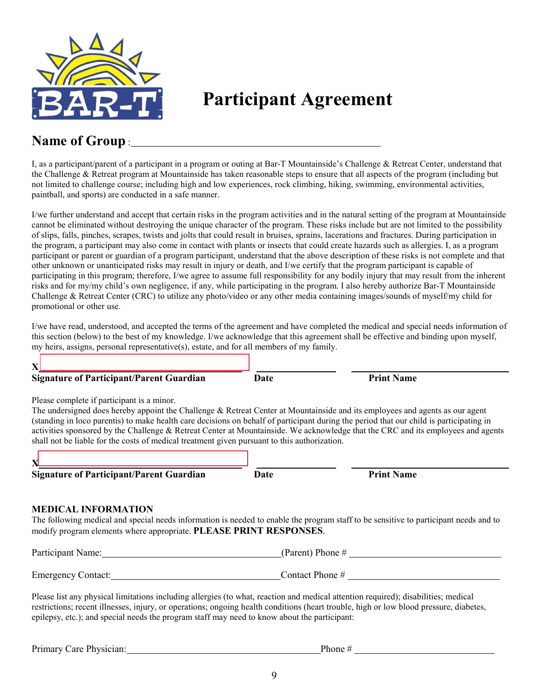

**Participant Agreement**

## **Name of Group** :

I, as a participant/parent of a participant in a program or outing at Bar-T Mountainside's Challenge & Retreat Center, understand that the Challenge & Retreat program at Mountainside has taken reasonable steps to ensure that all aspects of the program (including but not limited to challenge course; including high and low experiences, rock climbing, hiking, swimming, environmental activities, paintball, and sports) are conducted in a safe manner.

I/we further understand and accept that certain risks in the program activities and in the natural setting of the program at Mountainside cannot be eliminated without destroying the unique character of the program. These risks include but are not limited to the possibility of slips, falls, pinches, scrapes, twists and jolts that could result in bruises, sprains, lacerations and fractures. During participation in the program, a participant may also come in contact with plants or insects that could create hazards such as allergies. I, as a program participant or parent or guardian of a program participant, understand that the above description of these risks is not complete and that other unknown or unanticipated risks may result in injury or death, and I/we certify that the program participant is capable of participating in this program; therefore, I/we agree to assume full responsibility for any bodily injury that may result from the inherent risks and for my/my child's own negligence, if any, while participating in the program. I also hereby authorize Bar-T Mountainside Challenge & Retreat Center (CRC) to utilize any photo/video or any other media containing images/sounds of myself/my child for promotional or other use.

I/we have read, understood, and accepted the terms of the agreement and have completed the medical and special needs information of this section (below) to the best of my knowledge. I/we acknowledge that this agreement shall be effective and binding upon myself, my heirs, assigns, personal representative(s), estate, and for all members of my family.

| $\mathbf{X}$                                                                                                                                                                                                                                                                                                                                                                                                                                                                                                                                                 |      |                    |
|--------------------------------------------------------------------------------------------------------------------------------------------------------------------------------------------------------------------------------------------------------------------------------------------------------------------------------------------------------------------------------------------------------------------------------------------------------------------------------------------------------------------------------------------------------------|------|--------------------|
| <b>Signature of Participant/Parent Guardian</b>                                                                                                                                                                                                                                                                                                                                                                                                                                                                                                              | Date | <b>Print Name</b>  |
| Please complete if participant is a minor.<br>The undersigned does hereby appoint the Challenge $\&$ Retreat Center at Mountainside and its employees and agents as our agent<br>(standing in loco parentis) to make health care decisions on behalf of participant during the period that our child is participating in<br>activities sponsored by the Challenge & Retreat Center at Mountainside. We acknowledge that the CRC and its employees and agents<br>shall not be liable for the costs of medical treatment given pursuant to this authorization. |      |                    |
| <b>Signature of Participant/Parent Guardian</b>                                                                                                                                                                                                                                                                                                                                                                                                                                                                                                              | Date | <b>Print Name</b>  |
| <b>MEDICAL INFORMATION</b><br>The following medical and special needs information is needed to enable the program staff to be sensitive to participant needs and to<br>modify program elements where appropriate. PLEASE PRINT RESPONSES.                                                                                                                                                                                                                                                                                                                    |      |                    |
| Participant Name:                                                                                                                                                                                                                                                                                                                                                                                                                                                                                                                                            |      | (Parent) Phone $#$ |
| <b>Emergency Contact:</b>                                                                                                                                                                                                                                                                                                                                                                                                                                                                                                                                    |      | Contact Phone #    |

Please list any physical limitations including allergies (to what, reaction and medical attention required); disabilities; medical restrictions; recent illnesses, injury, or operations; ongoing health conditions (heart trouble, high or low blood pressure, diabetes, epilepsy, etc.); and special needs the program staff may need to know about the participant:

| Primary Care Physician: | Phone $#$ |
|-------------------------|-----------|
|-------------------------|-----------|